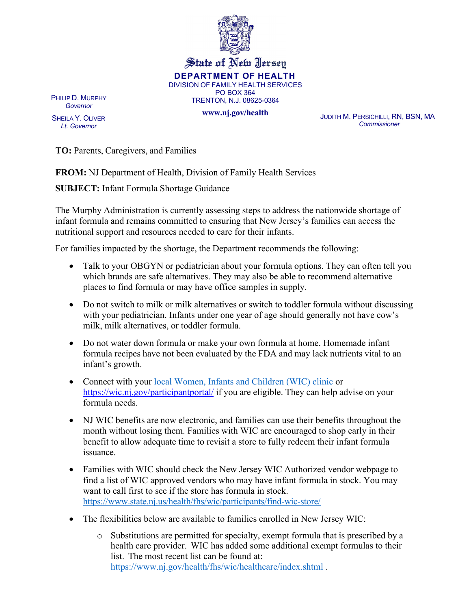

## State of New Jersey **DEPARTMENT OF HEALTH**  DIVISION OF FAMILY HEALTH SERVICES PO BOX 364 TRENTON, N.J. 08625-0364

PHILIP D. MURPHY *Governor*

SHEILA Y. OLIVER *Lt. Governor*

**[www.nj.gov/health](http://www.nj.gov/health)** JUDITH M. PERSICHILLI, RN, BSN, MA *Commissioner*

**TO:** Parents, Caregivers, and Families

**FROM:** NJ Department of Health, Division of Family Health Services

**SUBJECT:** Infant Formula Shortage Guidance

The Murphy Administration is currently assessing steps to address the nationwide shortage of infant formula and remains committed to ensuring that New Jersey's families can access the nutritional support and resources needed to care for their infants.

For families impacted by the shortage, the Department recommends the following:

- Talk to your OBGYN or pediatrician about your formula options. They can often tell you which brands are safe alternatives. They may also be able to recommend alternative places to find formula or may have office samples in supply.
- Do not switch to milk or milk alternatives or switch to toddler formula without discussing with your pediatrician. Infants under one year of age should generally not have cow's milk, milk alternatives, or toddler formula.
- Do not water down formula or [make your own formula at home.](https://www.fda.gov/food/alerts-advisories-safety-information/fda-advises-parents-and-caregivers-not-make-or-feed-homemade-infant-formula-infants) Homemade infant formula recipes have not been evaluated by the FDA and may lack nutrients vital to an infant's growth.
- Connect with your [local Women, Infants and Children \(WIC\) clinic](https://www.nj.gov/health/fhs/wic/participants/find-wic/) or <https://wic.nj.gov/participantportal/> if you are eligible. They can help advise on your formula needs.
- NJ WIC benefits are now electronic, and families can use their benefits throughout the month without losing them. Families with WIC are encouraged to shop early in their benefit to allow adequate time to revisit a store to fully redeem their infant formula issuance.
- Families with WIC should check the New Jersey WIC Authorized vendor webpage to find a list of WIC approved vendors who may have infant formula in stock. You may want to call first to see if the store has formula in stock. <https://www.state.nj.us/health/fhs/wic/participants/find-wic-store/>
- The flexibilities below are available to families enrolled in New Jersey WIC:
	- o Substitutions are permitted for specialty, exempt formula that is prescribed by a health care provider. WIC has added some additional exempt formulas to their list. The most recent list can be found at: <https://www.nj.gov/health/fhs/wic/healthcare/index.shtml> .